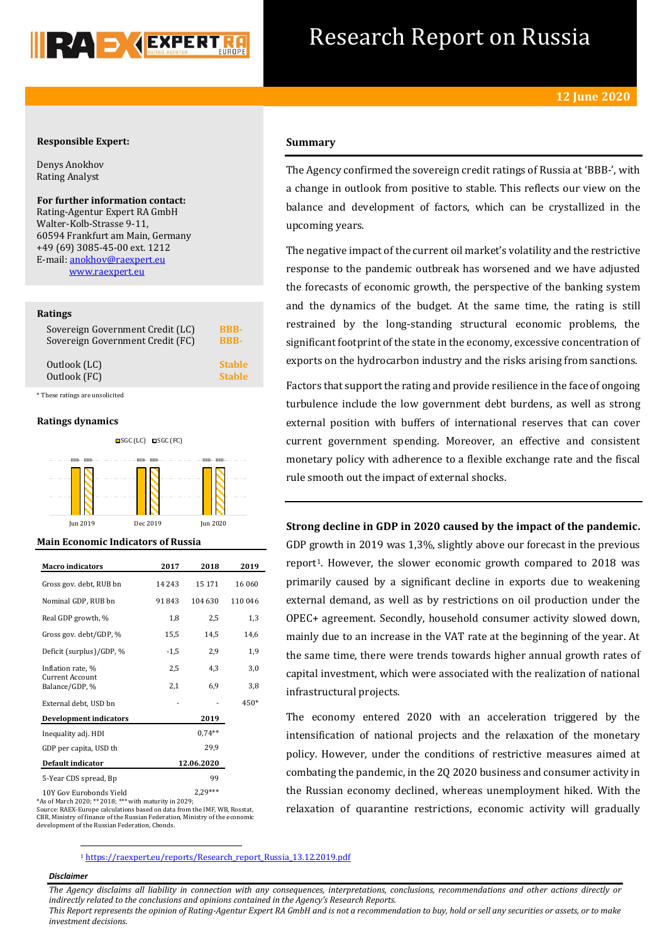

## Research Report on Russia

#### **Responsible Expert:**

Denys Anokhov Rating Analyst

**For further information contact:** Rating-Agentur Expert RA GmbH Walter-Kolb-Strasse 9-11, 60594 Frankfurt am Main, Germany +49 (69) 3085-45-00 ext. 1212 E-mail[: anokhov@raexpert.eu](mailto:anokhov@raexpert.eu) [www.raexpert.eu](http://raexpert.eu/)

#### **Ratings**

| Sovereign Government Credit (LC) | <b>RRR-</b>   |
|----------------------------------|---------------|
| Sovereign Government Credit (FC) | <b>BBB-</b>   |
| Outlook (LC)                     | <b>Stable</b> |
| Outlook (FC)                     | <b>Stable</b> |

\* These ratings are unsolicited

#### **Ratings dynamics**



Jun 2019 Dec 2019 Jun 2020

#### **Main Economic Indicators of Russia**

| <b>Macro indicators</b>           | 2017     | 2018       | 2019    |
|-----------------------------------|----------|------------|---------|
| Gross gov. debt, RUB bn           | 14 2 4 3 | 15 171     | 16 060  |
| Nominal GDP, RUB bn               | 91843    | 104 630    | 110 046 |
| Real GDP growth, %                | 1,8      | 2,5        | 1,3     |
| Gross gov. debt/GDP, %            | 15,5     | 14,5       | 14,6    |
| Deficit (surplus)/GDP, %          | $-1,5$   | 2,9        | 1,9     |
| Inflation rate, %                 | 2,5      | 4,3        | 3,0     |
| Current Account<br>Balance/GDP, % | 2,1      | 6,9        | 3,8     |
| External debt, USD bn             |          |            | $450*$  |
| <b>Development indicators</b>     |          | 2019       |         |
| Inequality adj. HDI               |          | $0.74**$   |         |
| GDP per capita, USD th            |          | 29,9       |         |
| Default indicator                 |          | 12.06.2020 |         |
| 5-Year CDS spread, Bp             |          | 99         |         |

10Y Gov Eurobonds Yield 2,29\*\*\* \*As of March 2020; \*\* 2018; \*\*\* with maturity in 2029;

Source: RAEX-Europe calculations based on data from the IMF, WB, Rosstat, CBR, Ministry of finance of the Russian Federation, Ministry of the economic development of the Russian Federation, Cbonds.

#### **Summary**

The Agency confirmed the sovereign credit ratings of Russia at 'BBB-', with a change in outlook from positive to stable. This reflects our view on the balance and development of factors, which can be crystallized in the upcoming years.

The negative impact of the current oil market's volatility and the restrictive response to the pandemic outbreak has worsened and we have adjusted the forecasts of economic growth, the perspective of the banking system and the dynamics of the budget. At the same time, the rating is still restrained by the long-standing structural economic problems, the significant footprint of the state in the economy, excessive concentration of exports on the hydrocarbon industry and the risks arising from sanctions.

Factors that support the rating and provide resilience in the face of ongoing turbulence include the low government debt burdens, as well as strong external position with buffers of international reserves that can cover current government spending. Moreover, an effective and consistent monetary policy with adherence to a flexible exchange rate and the fiscal rule smooth out the impact of external shocks.

### **Strong decline in GDP in 2020 caused by the impact of the pandemic.**

GDP growth in 2019 was 1,3%, slightly above our forecast in the previous report<sup>1</sup>. However, the slower economic growth compared to 2018 was primarily caused by a significant decline in exports due to weakening external demand, as well as by restrictions on oil production under the OPEC+ agreement. Secondly, household consumer activity slowed down, mainly due to an increase in the VAT rate at the beginning of the year. At the same time, there were trends towards higher annual growth rates of capital investment, which were associated with the realization of national infrastructural projects.

The economy entered 2020 with an acceleration triggered by the intensification of national projects and the relaxation of the monetary policy. However, under the conditions of restrictive measures aimed at combating the pandemic, in the 2Q 2020 business and consumer activity in the Russian economy declined, whereas unemployment hiked. With the relaxation of quarantine restrictions, economic activity will gradually

<sup>1</sup> [https://raexpert.eu/reports/Research\\_report\\_Russia\\_13.12.2019.pdf](https://raexpert.eu/reports/Research_report_Russia_13.12.2019.pdf)

#### *Disclaimer*

1

*The Agency disclaims all liability in connection with any consequences, interpretations, conclusions, recommendations and other actions directly or indirectly related to the conclusions and opinions contained in the Agency's Research Reports.*

*This Report represents the opinion of Rating-Agentur Expert RA GmbH and is not a recommendation to buy, hold or sell any securities or assets, or to make investment decisions.*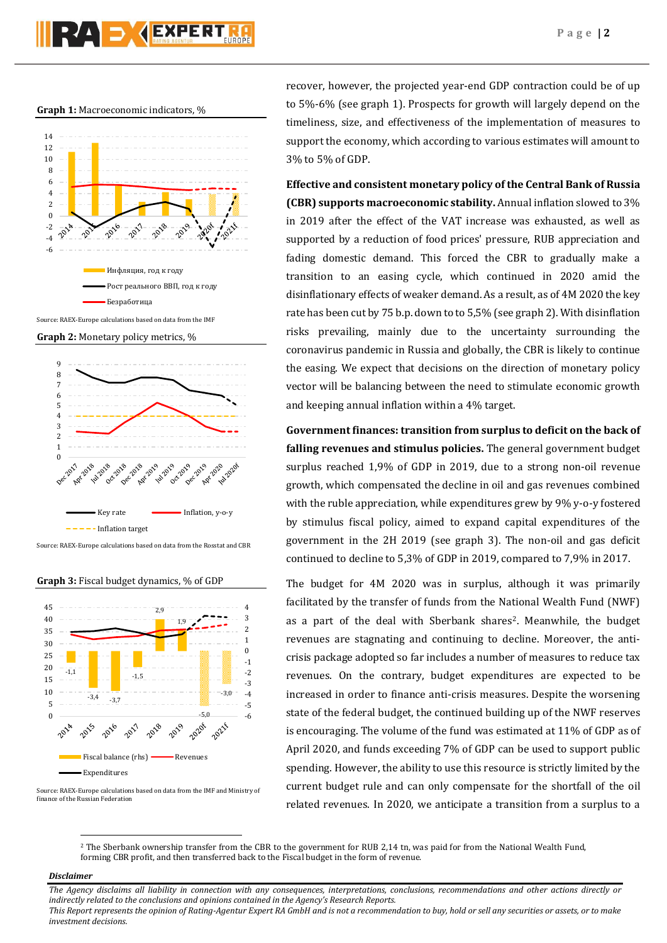#### **Graph 1:** Macroeconomic indicators, %



Source: RAEX-Europe calculations based on data from the IMF

**Graph 2:** Monetary policy metrics, %



Source: RAEX-Europe calculations based on data from the Rosstat and CBR

**Graph 3:** Fiscal budget dynamics, % of GDP



Source: RAEX-Europe calculations based on data from the IMF and Ministry of finance of the Russian Federation

recover, however, the projected year-end GDP contraction could be of up to 5%-6% (see graph 1). Prospects for growth will largely depend on the timeliness, size, and effectiveness of the implementation of measures to support the economy, which according to various estimates will amount to 3% to 5% of GDP.

**Effective and consistent monetary policy of the Central Bank of Russia (CBR) supports macroeconomic stability.** Annual inflation slowed to 3% in 2019 after the effect of the VAT increase was exhausted, as well as supported by a reduction of food prices' pressure, RUB appreciation and fading domestic demand. This forced the CBR to gradually make a transition to an easing cycle, which continued in 2020 amid the disinflationary effects of weaker demand. As a result, as of 4M 2020 the key rate has been cut by 75 b.p. down to to 5,5% (see graph 2). With disinflation risks prevailing, mainly due to the uncertainty surrounding the coronavirus pandemic in Russia and globally, the CBR is likely to continue the easing. We expect that decisions on the direction of monetary policy vector will be balancing between the need to stimulate economic growth and keeping annual inflation within a 4% target.

**Government finances: transition from surplus to deficit on the back of falling revenues and stimulus policies.** The general government budget surplus reached 1,9% of GDP in 2019, due to a strong non-oil revenue growth, which compensated the decline in oil and gas revenues combined with the ruble appreciation, while expenditures grew by 9% y-o-y fostered by stimulus fiscal policy, aimed to expand capital expenditures of the government in the 2H 2019 (see graph 3). The non-oil and gas deficit continued to decline to 5,3% of GDP in 2019, compared to 7,9% in 2017.

The budget for 4M 2020 was in surplus, although it was primarily facilitated by the transfer of funds from the National Wealth Fund (NWF) as a part of the deal with Sberbank shares<sup>2</sup>. Meanwhile, the budget revenues are stagnating and continuing to decline. Moreover, the anticrisis package adopted so far includes a number of measures to reduce tax revenues. On the contrary, budget expenditures are expected to be increased in order to finance anti-crisis measures. Despite the worsening state of the federal budget, the continued building up of the NWF reserves is encouraging. The volume of the fund was estimated at 11% of GDP as of April 2020, and funds exceeding 7% of GDP can be used to support public spending. However, the ability to use this resource is strictly limited by the current budget rule and can only compensate for the shortfall of the oil related revenues. In 2020, we anticipate a transition from a surplus to a

<sup>2</sup> The Sberbank ownership transfer from the CBR to the government for RUB 2,14 tn, was paid for from the National Wealth Fund, forming CBR profit, and then transferred back to the Fiscal budget in the form of revenue.

#### *Disclaimer*

 $\overline{\phantom{a}}$ 

*The Agency disclaims all liability in connection with any consequences, interpretations, conclusions, recommendations and other actions directly or indirectly related to the conclusions and opinions contained in the Agency's Research Reports. This Report represents the opinion of Rating-Agentur Expert RA GmbH and is not a recommendation to buy, hold or sell any securities or assets, or to make investment decisions.*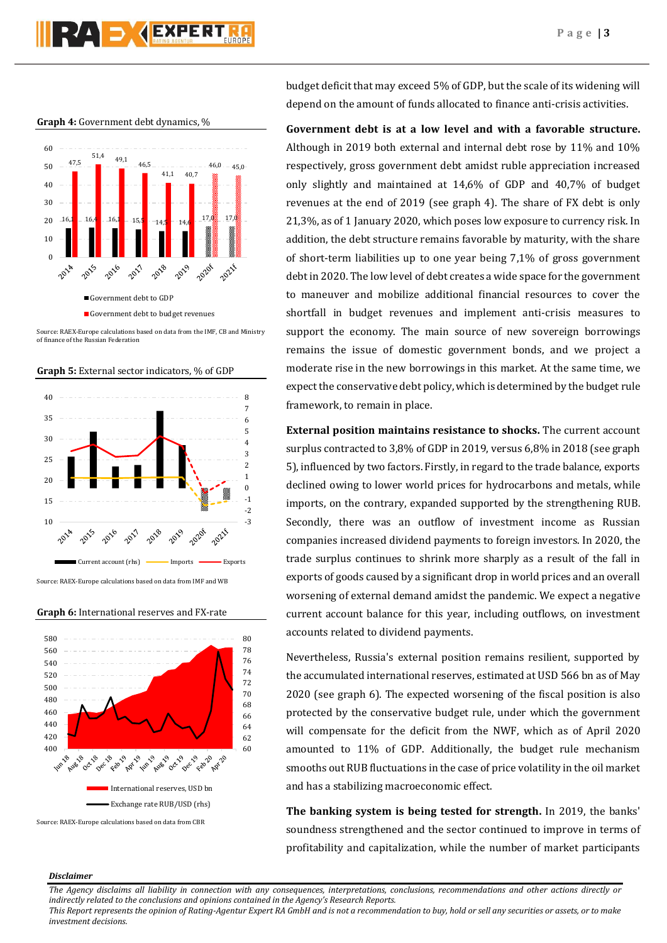# PZA S ZEXPERT

**Graph 4:** Government debt dynamics, %



Source: RAEX-Europe calculations based on data from the IMF, CB and Ministry of finance of the Russian Federation





Source: RAEX-Europe calculations based on data from IMF and WB

#### 580 80 78 560 76 540 74 520 72 500 70 480 68 460 66 440 64 420 62 400 60 **B** 28 **B** 2019 **Prov** 19 **Plus** 2014 **Puge 19 Poct** P **Precise B** 002.78 **P. 2010** International reserves, USD bn Exchange rate RUB/USD (rhs)

**Graph 6:** International reserves and FX-rate

Source: RAEX-Europe calculations based on data from CBR

budget deficit that may exceed 5% of GDP, but the scale of its widening will depend on the amount of funds allocated to finance anti-crisis activities.

**Government debt is at a low level and with a favorable structure.** Although in 2019 both external and internal debt rose by 11% and 10% respectively, gross government debt amidst ruble appreciation increased only slightly and maintained at 14,6% of GDP and 40,7% of budget revenues at the end of 2019 (see graph 4). The share of FX debt is only 21,3%, as of 1 January 2020, which poses low exposure to currency risk. In addition, the debt structure remains favorable by maturity, with the share of short-term liabilities up to one year being 7,1% of gross government debt in 2020. The low level of debt creates a wide space for the government to maneuver and mobilize additional financial resources to cover the shortfall in budget revenues and implement anti-crisis measures to support the economy. The main source of new sovereign borrowings remains the issue of domestic government bonds, and we project a moderate rise in the new borrowings in this market. At the same time, we expect the conservative debt policy, which is determined by the budget rule framework, to remain in place.

**External position maintains resistance to shocks.** The current account surplus contracted to 3,8% of GDP in 2019, versus 6,8% in 2018 (see graph 5), influenced by two factors. Firstly, in regard to the trade balance, exports declined owing to lower world prices for hydrocarbons and metals, while imports, on the contrary, expanded supported by the strengthening RUB. Secondly, there was an outflow of investment income as Russian companies increased dividend payments to foreign investors. In 2020, the trade surplus continues to shrink more sharply as a result of the fall in exports of goods caused by a significant drop in world prices and an overall worsening of external demand amidst the pandemic. We expect a negative current account balance for this year, including outflows, on investment accounts related to dividend payments.

Nevertheless, Russia's external position remains resilient, supported by the accumulated international reserves, estimated at USD 566 bn as of May 2020 (see graph 6). The expected worsening of the fiscal position is also protected by the conservative budget rule, under which the government will compensate for the deficit from the NWF, which as of April 2020 amounted to 11% of GDP. Additionally, the budget rule mechanism smooths out RUB fluctuations in the case of price volatility in the oil market and has a stabilizing macroeconomic effect.

**The banking system is being tested for strength.** In 2019, the banks' soundness strengthened and the sector continued to improve in terms of profitability and capitalization, while the number of market participants

#### *Disclaimer*

*The Agency disclaims all liability in connection with any consequences, interpretations, conclusions, recommendations and other actions directly or indirectly related to the conclusions and opinions contained in the Agency's Research Reports.*

*This Report represents the opinion of Rating-Agentur Expert RA GmbH and is not a recommendation to buy, hold or sell any securities or assets, or to make investment decisions.*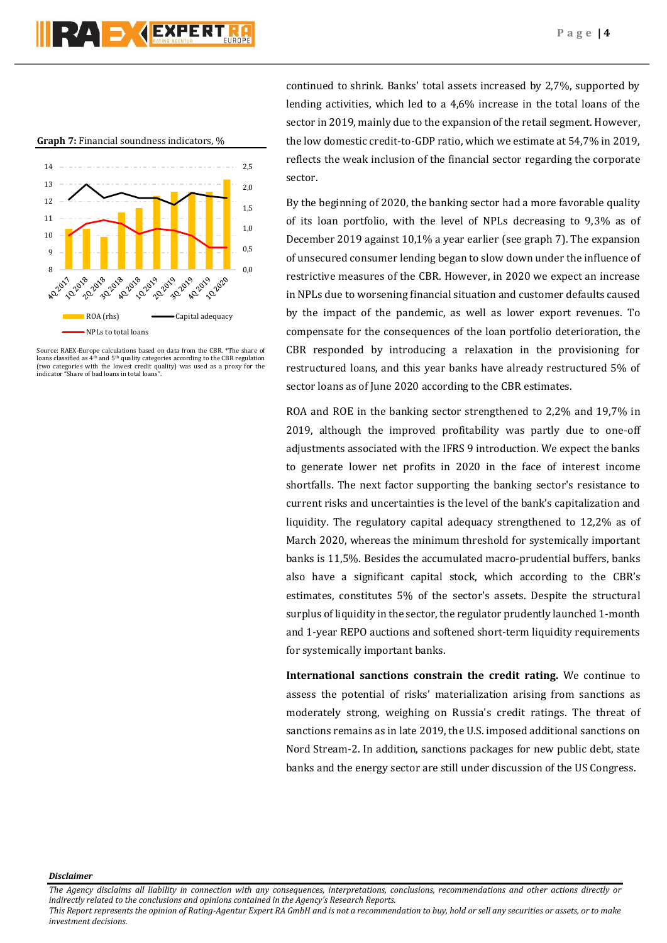**Graph 7:** Financial soundness indicators, %



Source: RAEX-Europe calculations based on data from the CBR. \*The share of loans classified as  $4<sup>th</sup>$  and  $5<sup>th</sup>$  quality categories according to the CBR regulation <sup>1</sup> and 5<sup>th</sup> quality categories according to the CBR regulation (two categories with the lowest credit quality) was used as a proxy for the indicator "Share of bad loans in total loans".

continued to shrink. Banks' total assets increased by 2,7%, supported by lending activities, which led to a 4,6% increase in the total loans of the sector in 2019, mainly due to the expansion of the retail segment. However, the low domestic credit-to-GDP ratio, which we estimate at 54,7% in 2019, reflects the weak inclusion of the financial sector regarding the corporate sector.

By the beginning of 2020, the banking sector had a more favorable quality of its loan portfolio, with the level of NPLs decreasing to 9,3% as of December 2019 against 10,1% a year earlier (see graph 7). The expansion of unsecured consumer lending began to slow down under the influence of restrictive measures of the CBR. However, in 2020 we expect an increase in NPLs due to worsening financial situation and customer defaults caused by the impact of the pandemic, as well as lower export revenues. To compensate for the consequences of the loan portfolio deterioration, the CBR responded by introducing a relaxation in the provisioning for restructured loans, and this year banks have already restructured 5% of sector loans as of June 2020 according to the CBR estimates.

ROA and ROE in the banking sector strengthened to 2,2% and 19,7% in 2019, although the improved profitability was partly due to one-off adjustments associated with the IFRS 9 introduction. We expect the banks to generate lower net profits in 2020 in the face of interest income shortfalls. The next factor supporting the banking sector's resistance to current risks and uncertainties is the level of the bank's capitalization and liquidity. The regulatory capital adequacy strengthened to 12,2% as of March 2020, whereas the minimum threshold for systemically important banks is 11,5%. Besides the accumulated macro-prudential buffers, banks also have a significant capital stock, which according to the CBR's estimates, constitutes 5% of the sector's assets. Despite the structural surplus of liquidity in the sector, the regulator prudently launched 1-month and 1-year REPO auctions and softened short-term liquidity requirements for systemically important banks.

**International sanctions constrain the credit rating.** We continue to assess the potential of risks' materialization arising from sanctions as moderately strong, weighing on Russia's credit ratings. The threat of sanctions remains as in late 2019, the U.S. imposed additional sanctions on Nord Stream-2. In addition, sanctions packages for new public debt, state banks and the energy sector are still under discussion of the US Congress.

*Disclaimer* 

*The Agency disclaims all liability in connection with any consequences, interpretations, conclusions, recommendations and other actions directly or indirectly related to the conclusions and opinions contained in the Agency's Research Reports.*

*This Report represents the opinion of Rating-Agentur Expert RA GmbH and is not a recommendation to buy, hold or sell any securities or assets, or to make investment decisions.*